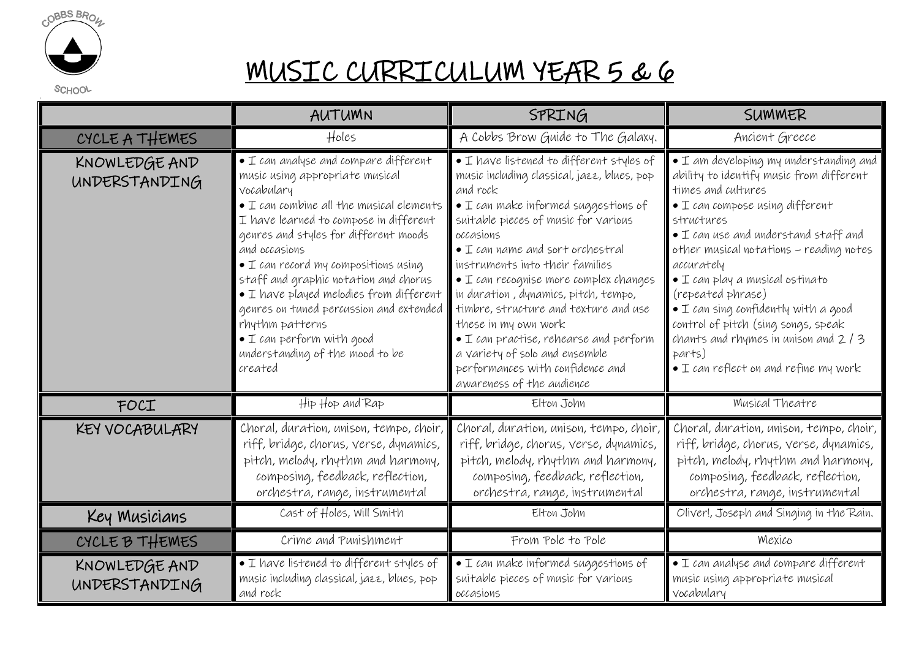

## MUSIC CURRICULUM YEAR 5 & 6

SCHOOL

|                                | AUTUMN                                                                                                                                                                                                                                                                                                                                                                                                                                                                                                                                            | SPRING                                                                                                                                                                                                                                                                                                                                                                                                                                                                                                                                                                                                        | SUMMER                                                                                                                                                                                                                                                                                                                                                                                                                                                                                                                                |
|--------------------------------|---------------------------------------------------------------------------------------------------------------------------------------------------------------------------------------------------------------------------------------------------------------------------------------------------------------------------------------------------------------------------------------------------------------------------------------------------------------------------------------------------------------------------------------------------|---------------------------------------------------------------------------------------------------------------------------------------------------------------------------------------------------------------------------------------------------------------------------------------------------------------------------------------------------------------------------------------------------------------------------------------------------------------------------------------------------------------------------------------------------------------------------------------------------------------|---------------------------------------------------------------------------------------------------------------------------------------------------------------------------------------------------------------------------------------------------------------------------------------------------------------------------------------------------------------------------------------------------------------------------------------------------------------------------------------------------------------------------------------|
| CYCLE A THEMES                 | Holes                                                                                                                                                                                                                                                                                                                                                                                                                                                                                                                                             | A Cobbs Brow Guide to The Galaxy.                                                                                                                                                                                                                                                                                                                                                                                                                                                                                                                                                                             | Ancient Greece                                                                                                                                                                                                                                                                                                                                                                                                                                                                                                                        |
| KNOWLEDGE AND<br>UNDERSTANDING | $\bullet$ $\perp$ can analyse and compare different<br>music using appropriate musical<br>vocabulary<br>$\bullet$ I can combine all the musical elements<br>I have learned to compose in different<br>genres and styles for different moods<br>and occasions<br>$\bullet$ I can record my compositions using<br>staff and graphic notation and chorus<br>• I have played melodies from different<br>genres on tuned percussion and extended<br>rhythm patterns<br>$\bullet$ I can perform with good<br>understanding of the mood to be<br>created | • I have listened to different styles of<br>music including classical, jazz, blues, pop<br>and rock<br>$\bullet$ I can make informed suggestions of<br>suitable pieces of music for various<br>occasions<br>$\bullet$ I can name and sort orchestral<br>instruments into their families<br>$\bullet$ $\perp$ can recognise more complex changes<br>in duration, dynamics, pitch, tempo,<br>timbre, structure and texture and use<br>these in my own work<br>$\bullet$ I can practise, rehearse and perform<br>a variety of solo and ensemble<br>performances with confidence and<br>awareness of the audience | $\bullet$ I am developing my understanding and<br>ability to identify music from different<br>times and cultures<br>$\bullet$ I can compose using different<br>structures<br>• I can use and understand staff and<br>other musical notations - reading notes<br>accurately<br>$\bullet$ I can play a musical ostinato<br>(repeated phrase)<br>$\bullet$ I can sing confidently with a good<br>control of pitch (sing songs, speak<br>chants and rhymes in unison and $2/3$<br>parts)<br>$\bullet$ I can reflect on and refine my work |
| FOCI                           | Hip Hop and Rap                                                                                                                                                                                                                                                                                                                                                                                                                                                                                                                                   | Elton John                                                                                                                                                                                                                                                                                                                                                                                                                                                                                                                                                                                                    | Musical Theatre                                                                                                                                                                                                                                                                                                                                                                                                                                                                                                                       |
| KEY VOCABULARY                 | Choral, duration, unison, tempo, choir,<br>riff, bridge, chorus, verse, dynamics,<br>pitch, melody, rhythm and harmony,<br>composing, feedback, reflection,<br>orchestra, range, instrumental                                                                                                                                                                                                                                                                                                                                                     | Choral, duration, unison, tempo, choir,<br>riff, bridge, chorus, verse, dynamics,<br>pitch, melody, rhythm and harmony,<br>composing, feedback, reflection,<br>orchestra, range, instrumental                                                                                                                                                                                                                                                                                                                                                                                                                 | Choral, duration, unison, tempo, choir,<br>riff, bridge, chorus, verse, dynamics,<br>pitch, melody, rhythm and harmony,<br>composing, feedback, reflection,<br>orchestra, range, instrumental                                                                                                                                                                                                                                                                                                                                         |
| Key Musicians                  | Cast of Holes, Will Smith                                                                                                                                                                                                                                                                                                                                                                                                                                                                                                                         | Elton John                                                                                                                                                                                                                                                                                                                                                                                                                                                                                                                                                                                                    | Oliver!, Joseph and Singing in the Rain.                                                                                                                                                                                                                                                                                                                                                                                                                                                                                              |
| CYCLE B THEMES                 | Crime and Punishment                                                                                                                                                                                                                                                                                                                                                                                                                                                                                                                              | From Pole to Pole                                                                                                                                                                                                                                                                                                                                                                                                                                                                                                                                                                                             | Mexico                                                                                                                                                                                                                                                                                                                                                                                                                                                                                                                                |
| KNOWLEDGE AND<br>UNDERSTANDING | • I have listened to different styles of<br>music including classical, jazz, blues, pop<br>and rock                                                                                                                                                                                                                                                                                                                                                                                                                                               | $\bullet$ I can make informed suggestions of<br>suitable pieces of music for various<br>occasions                                                                                                                                                                                                                                                                                                                                                                                                                                                                                                             | $\bullet$ I can analyse and compare different<br>music using appropriate musical<br>vocabulary                                                                                                                                                                                                                                                                                                                                                                                                                                        |